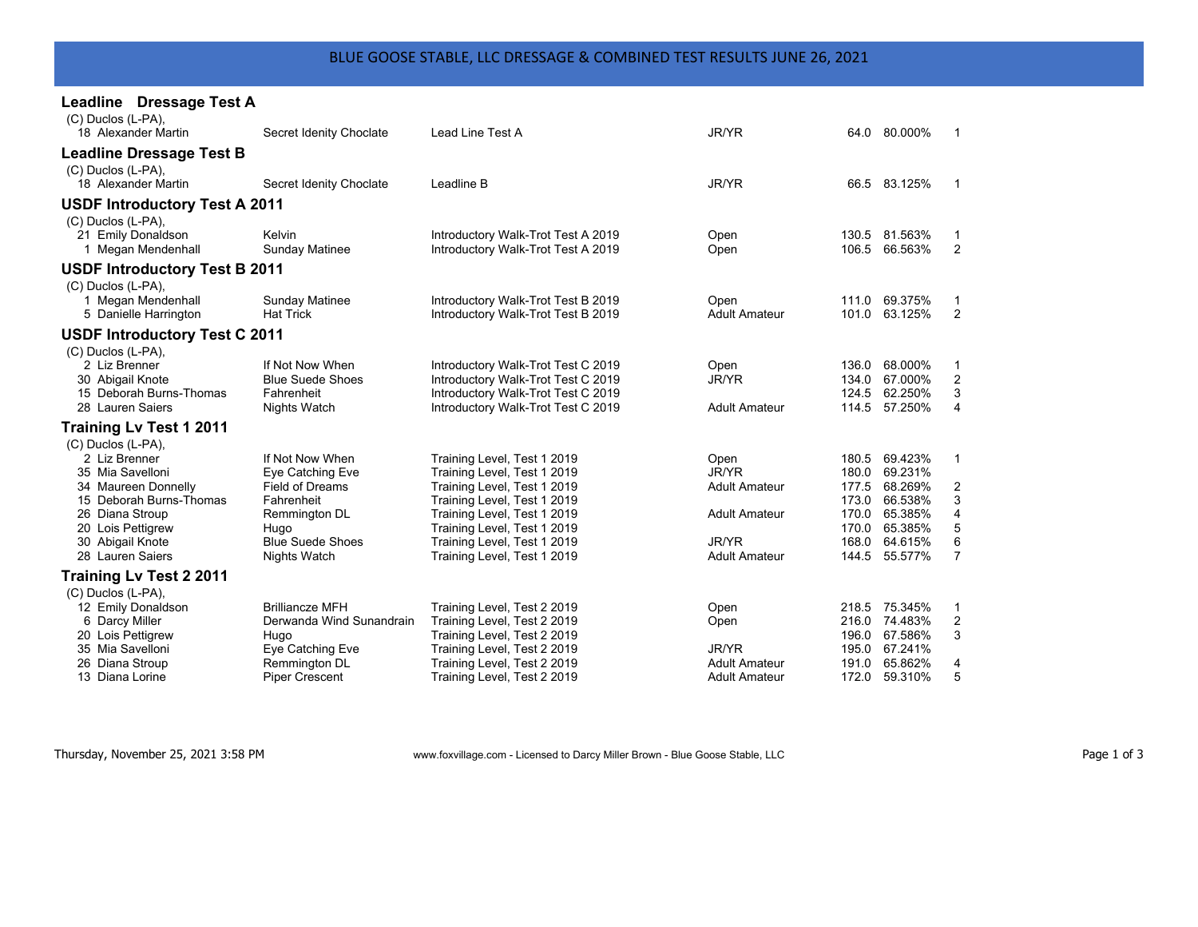| Leadline Dressage Test A             |                          |                                                            |                      |                |                    |                |
|--------------------------------------|--------------------------|------------------------------------------------------------|----------------------|----------------|--------------------|----------------|
| (C) Duclos (L-PA),                   |                          |                                                            |                      |                |                    |                |
| 18 Alexander Martin                  | Secret Idenity Choclate  | Lead Line Test A                                           | JR/YR                |                | 64.0 80.000%       | 1              |
| <b>Leadline Dressage Test B</b>      |                          |                                                            |                      |                |                    |                |
| (C) Duclos (L-PA),                   |                          |                                                            |                      |                |                    |                |
| 18 Alexander Martin                  | Secret Idenity Choclate  | Leadline B                                                 | JR/YR                |                | 66.5 83.125%       | 1              |
| <b>USDF Introductory Test A 2011</b> |                          |                                                            |                      |                |                    |                |
| (C) Duclos (L-PA),                   |                          |                                                            |                      |                |                    |                |
| 21 Emily Donaldson                   | Kelvin                   | Introductory Walk-Trot Test A 2019                         | Open                 |                | 130.5 81.563%      | 1              |
| 1 Megan Mendenhall                   | Sunday Matinee           | Introductory Walk-Trot Test A 2019                         | Open                 | 106.5          | 66.563%            | 2              |
| <b>USDF Introductory Test B 2011</b> |                          |                                                            |                      |                |                    |                |
| (C) Duclos (L-PA),                   |                          |                                                            |                      |                |                    |                |
| 1 Megan Mendenhall                   | <b>Sunday Matinee</b>    | Introductory Walk-Trot Test B 2019                         | Open                 |                | 111.0 69.375%      | 1              |
| 5 Danielle Harrington                | <b>Hat Trick</b>         | Introductory Walk-Trot Test B 2019                         | <b>Adult Amateur</b> | 101.0          | 63.125%            | 2              |
| <b>USDF Introductory Test C 2011</b> |                          |                                                            |                      |                |                    |                |
| (C) Duclos (L-PA),                   |                          |                                                            |                      |                |                    |                |
| 2 Liz Brenner                        | If Not Now When          | Introductory Walk-Trot Test C 2019                         | Open                 | 136.0          | 68.000%            | 1              |
| 30 Abigail Knote                     | <b>Blue Suede Shoes</b>  | Introductory Walk-Trot Test C 2019                         | JR/YR                | 134.0          | 67.000%            | 2              |
| 15 Deborah Burns-Thomas              | Fahrenheit               | Introductory Walk-Trot Test C 2019                         |                      | 124.5          | 62.250%            | 3              |
| 28 Lauren Saiers                     | <b>Nights Watch</b>      | Introductory Walk-Trot Test C 2019                         | <b>Adult Amateur</b> |                | 114.5 57.250%      | 4              |
| <b>Training Lv Test 1 2011</b>       |                          |                                                            |                      |                |                    |                |
| (C) Duclos (L-PA),                   |                          |                                                            |                      |                |                    |                |
| 2 Liz Brenner                        | If Not Now When          | Training Level, Test 1 2019                                | Open                 | 180.5          | 69.423%            | $\mathbf{1}$   |
| 35 Mia Savelloni                     | Eye Catching Eve         | Training Level, Test 1 2019                                | JR/YR                | 180.0          | 69.231%            |                |
| 34 Maureen Donnelly                  | <b>Field of Dreams</b>   | Training Level, Test 1 2019                                | <b>Adult Amateur</b> | 177.5          | 68.269%            | 2              |
| 15 Deborah Burns-Thomas              | Fahrenheit               | Training Level, Test 1 2019                                |                      | 173.0          | 66.538%<br>65.385% | 3<br>4         |
| 26 Diana Stroup<br>20 Lois Pettigrew | Remmington DL<br>Hugo    | Training Level, Test 1 2019<br>Training Level, Test 1 2019 | <b>Adult Amateur</b> | 170.0<br>170.0 | 65.385%            | 5              |
| 30 Abigail Knote                     | <b>Blue Suede Shoes</b>  | Training Level, Test 1 2019                                | JR/YR                | 168.0          | 64.615%            | 6              |
| 28 Lauren Saiers                     | <b>Nights Watch</b>      | Training Level, Test 1 2019                                | <b>Adult Amateur</b> | 144.5          | 55.577%            | $\overline{7}$ |
| <b>Training Lv Test 2 2011</b>       |                          |                                                            |                      |                |                    |                |
| (C) Duclos (L-PA),                   |                          |                                                            |                      |                |                    |                |
| 12 Emily Donaldson                   | <b>Brilliancze MFH</b>   | Training Level, Test 2 2019                                | Open                 |                | 218.5 75.345%      | 1              |
| 6 Darcy Miller                       | Derwanda Wind Sunandrain | Training Level, Test 2 2019                                | Open                 | 216.0          | 74.483%            | 2              |
| 20 Lois Pettigrew                    | Hugo                     | Training Level, Test 2 2019                                |                      | 196.0          | 67.586%            | 3              |
| 35 Mia Savelloni                     | Eye Catching Eve         | Training Level, Test 2 2019                                | JR/YR                | 195.0          | 67.241%            |                |
| 26 Diana Stroup                      | Remmington DL            | Training Level, Test 2 2019                                | <b>Adult Amateur</b> | 191.0          | 65.862%            | 4              |
| 13 Diana Lorine                      | <b>Piper Crescent</b>    | Training Level, Test 2 2019                                | <b>Adult Amateur</b> | 172.0          | 59.310%            | 5              |

Thursday, November 25, 2021 3:58 PM www.foxvillage.com - Licensed to Darcy Miller Brown - Blue Goose Stable, LLC Page 1 of 3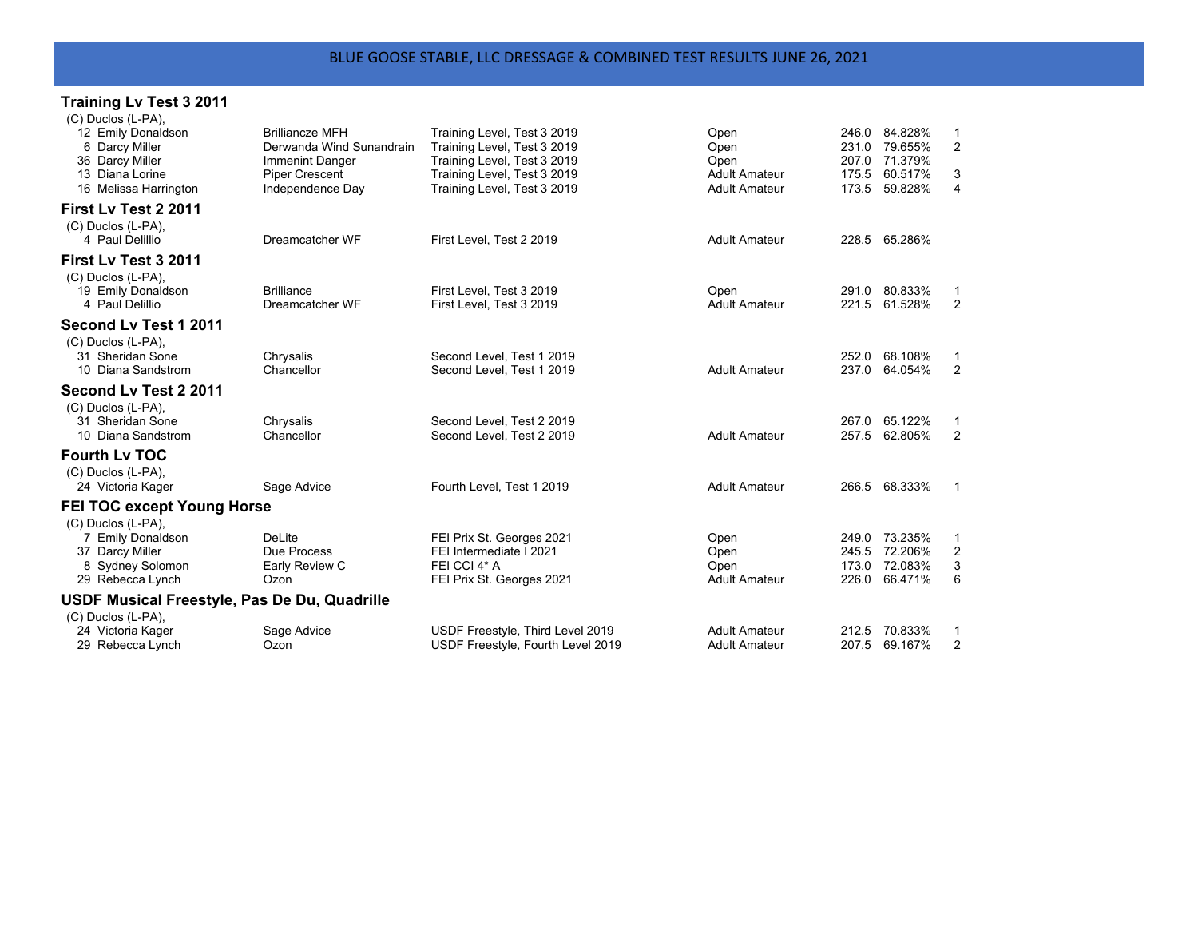## **Training Lv Test 3 2011**

| (C) Duclos (L-PA),                           |                                          |                                                            |                              |                |                    |                     |
|----------------------------------------------|------------------------------------------|------------------------------------------------------------|------------------------------|----------------|--------------------|---------------------|
| 12 Emily Donaldson                           | <b>Brilliancze MFH</b>                   | Training Level, Test 3 2019                                | Open                         |                | 246.0 84.828%      | 1                   |
| 6 Darcy Miller                               | Derwanda Wind Sunandrain                 | Training Level, Test 3 2019                                | Open                         | 231.0          | 79.655%            | $\overline{2}$      |
| 36 Darcy Miller<br>13 Diana Lorine           | Immenint Danger<br><b>Piper Crescent</b> | Training Level, Test 3 2019<br>Training Level, Test 3 2019 | Open<br><b>Adult Amateur</b> | 207.0<br>175.5 | 71.379%<br>60.517% | 3                   |
| 16 Melissa Harrington                        | Independence Day                         | Training Level, Test 3 2019                                | <b>Adult Amateur</b>         | 173.5          | 59.828%            | $\overline{4}$      |
|                                              |                                          |                                                            |                              |                |                    |                     |
| First Lv Test 2 2011                         |                                          |                                                            |                              |                |                    |                     |
| (C) Duclos (L-PA),                           |                                          |                                                            |                              |                |                    |                     |
| 4 Paul Delillio                              | Dreamcatcher WF                          | First Level, Test 2 2019                                   | <b>Adult Amateur</b>         |                | 228.5 65.286%      |                     |
| First Lv Test 3 2011                         |                                          |                                                            |                              |                |                    |                     |
| (C) Duclos (L-PA),                           |                                          |                                                            |                              |                |                    |                     |
| 19 Emily Donaldson                           | <b>Brilliance</b>                        | First Level, Test 3 2019                                   | Open                         | 291.0          | 80.833%            | 1                   |
| 4 Paul Delillio                              | Dreamcatcher WF                          | First Level, Test 3 2019                                   | <b>Adult Amateur</b>         | 221.5          | 61.528%            | 2                   |
| Second Ly Test 1 2011                        |                                          |                                                            |                              |                |                    |                     |
| (C) Duclos (L-PA),                           |                                          |                                                            |                              |                |                    |                     |
| 31 Sheridan Sone                             | Chrysalis                                | Second Level, Test 1 2019                                  |                              | 252.0          | 68.108%            | $\mathbf 1$         |
| 10 Diana Sandstrom                           | Chancellor                               | Second Level, Test 1 2019                                  | <b>Adult Amateur</b>         | 237.0          | 64.054%            | 2                   |
| Second Lv Test 2 2011                        |                                          |                                                            |                              |                |                    |                     |
| (C) Duclos (L-PA),                           |                                          |                                                            |                              |                |                    |                     |
| 31 Sheridan Sone                             | Chrysalis                                | Second Level. Test 2 2019                                  |                              | 267.0          | 65.122%            | $\mathbf 1$         |
| 10 Diana Sandstrom                           | Chancellor                               | Second Level, Test 2 2019                                  | <b>Adult Amateur</b>         | 257.5          | 62.805%            | 2                   |
| <b>Fourth Lv TOC</b>                         |                                          |                                                            |                              |                |                    |                     |
| (C) Duclos (L-PA),                           |                                          |                                                            |                              |                |                    |                     |
| 24 Victoria Kager                            | Sage Advice                              | Fourth Level, Test 1 2019                                  | <b>Adult Amateur</b>         | 266.5          | 68.333%            | $\mathbf 1$         |
|                                              |                                          |                                                            |                              |                |                    |                     |
| <b>FEI TOC except Young Horse</b>            |                                          |                                                            |                              |                |                    |                     |
| (C) Duclos (L-PA),<br>7 Emily Donaldson      | DeLite                                   | FEI Prix St. Georges 2021                                  |                              | 249.0          | 73.235%            | 1                   |
| 37 Darcy Miller                              | Due Process                              | FEI Intermediate I 2021                                    | Open<br>Open                 | 245.5          | 72.206%            | 2                   |
| 8 Sydney Solomon                             | Early Review C                           | FEI CCI 4* A                                               | Open                         | 173.0          | 72.083%            | 3                   |
| 29 Rebecca Lynch                             | Ozon                                     | FEI Prix St. Georges 2021                                  | <b>Adult Amateur</b>         | 226.0          | 66.471%            | 6                   |
|                                              |                                          |                                                            |                              |                |                    |                     |
| USDF Musical Freestyle, Pas De Du, Quadrille |                                          |                                                            |                              |                |                    |                     |
| (C) Duclos (L-PA),<br>24 Victoria Kager      | Sage Advice                              | USDF Freestyle, Third Level 2019                           | <b>Adult Amateur</b>         | 212.5          | 70.833%            |                     |
| 29 Rebecca Lynch                             | Ozon                                     | USDF Freestyle, Fourth Level 2019                          | <b>Adult Amateur</b>         | 207.5          | 69.167%            | 1<br>$\overline{2}$ |
|                                              |                                          |                                                            |                              |                |                    |                     |